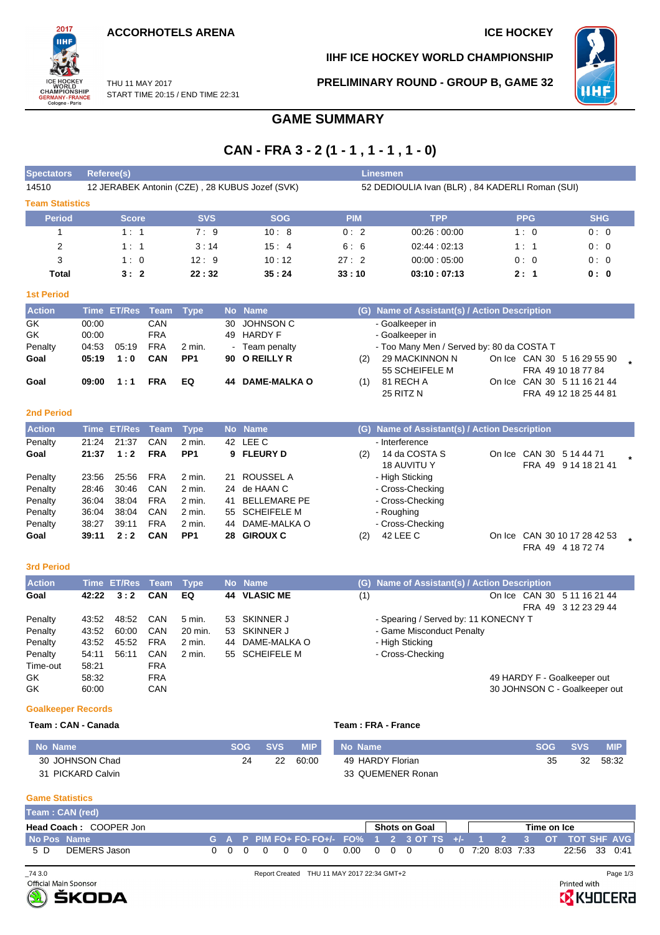**ACCORHOTELS ARENA ICE HOCKEY** 



**IIHF ICE HOCKEY WORLD CHAMPIONSHIP**

**PRELIMINARY ROUND - GROUP B, GAME 32**



THU 11 MAY 2017 START TIME 20:15 / END TIME 22:31

## **GAME SUMMARY**

# **CAN - FRA 3 - 2 (1 - 1 , 1 - 1 , 1 - 0)**

| <b>Spectators</b>           |                                  | <b>Referee(s)</b>     |                                        |                           |                |                                                                    |            | <b>Linesmen</b>                                                                                   |            |                                                                            |
|-----------------------------|----------------------------------|-----------------------|----------------------------------------|---------------------------|----------------|--------------------------------------------------------------------|------------|---------------------------------------------------------------------------------------------------|------------|----------------------------------------------------------------------------|
| 14510                       |                                  |                       |                                        |                           |                | 12 JERABEK Antonin (CZE), 28 KUBUS Jozef (SVK)                     |            | 52 DEDIOULIA Ivan (BLR), 84 KADERLI Roman (SUI)                                                   |            |                                                                            |
| <b>Team Statistics</b>      |                                  |                       |                                        |                           |                |                                                                    |            |                                                                                                   |            |                                                                            |
| <b>Period</b>               |                                  | <b>Score</b>          |                                        | <b>SVS</b>                |                | <b>SOG</b>                                                         | <b>PIM</b> | <b>TPP</b>                                                                                        | <b>PPG</b> | <b>SHG</b>                                                                 |
| 1                           |                                  | 1:1                   |                                        | 7:9                       |                | 10:8                                                               | 0:2        | 00.26:00.00                                                                                       | 1:0        | 0:0                                                                        |
| 2                           |                                  | 1:1                   |                                        | 3:14                      |                | 15:4                                                               | 6:6        | 02:44:02:13                                                                                       | 1:1        | 0:0                                                                        |
| 3                           |                                  | 1:0                   |                                        | 12:9                      |                | 10:12                                                              | 27:2       | 00:00:05:00                                                                                       | 0:0        | 0:0                                                                        |
| <b>Total</b>                |                                  | 3:2                   |                                        | 22:32                     |                | 35:24                                                              | 33:10      | 03:10:07:13                                                                                       | 2:1        | 0:0                                                                        |
| <b>1st Period</b>           |                                  |                       |                                        |                           |                |                                                                    |            |                                                                                                   |            |                                                                            |
| <b>Action</b>               |                                  | Time ET/Res           | Team                                   | <b>Type</b>               | <b>No</b>      | <b>Name</b>                                                        |            | (G) Name of Assistant(s) / Action Description                                                     |            |                                                                            |
| GK<br>GK<br>Penalty<br>Goal | 00:00<br>00:00<br>04:53<br>05:19 | 05:19<br>1:0          | CAN<br><b>FRA</b><br><b>FRA</b><br>CAN | 2 min.<br>PP <sub>1</sub> | 30<br>49<br>90 | <b>JOHNSON C</b><br><b>HARDY F</b><br>- Team penalty<br>O REILLY R | (2)        | - Goalkeeper in<br>- Goalkeeper in<br>- Too Many Men / Served by: 80 da COSTA T<br>29 MACKINNON N |            | On Ice CAN 30 5 16 29 55 90                                                |
| Goal<br><b>2nd Period</b>   | 09:00                            | 1:1                   | <b>FRA</b>                             | EQ                        | 44             | <b>DAME-MALKA O</b>                                                | (1)        | 55 SCHEIFELE M<br>81 RECH A<br>25 RITZ N                                                          |            | FRA 49 10 18 77 84<br>On Ice CAN 30 5 11 16 21 44<br>FRA 49 12 18 25 44 81 |
| <b>Action</b>               |                                  | <b>Time ET/Res</b>    | <b>Team</b>                            | <b>Type</b>               |                | No Name                                                            |            | (G) Name of Assistant(s) / Action Description                                                     |            |                                                                            |
| Penalty                     | 21:24                            | 21:37                 | CAN                                    | $2$ min.                  | 42             | LEE C                                                              |            | - Interference                                                                                    |            |                                                                            |
| Goal                        | 21:37                            | 1:2                   | <b>FRA</b>                             | PP <sub>1</sub>           | 9              | <b>FLEURY D</b>                                                    | (2)        | 14 da COSTA S<br><b>18 AUVITU Y</b>                                                               |            | On Ice CAN 30 5 14 44 71<br>FRA 49 9 14 18 21 41                           |
| Penalty                     | 23:56                            | 25:56                 | <b>FRA</b>                             | $2$ min.                  | 21             | <b>ROUSSEL A</b>                                                   |            | - High Sticking                                                                                   |            |                                                                            |
| Penalty                     | 28:46                            | 30:46                 | CAN                                    | 2 min.                    | 24             | de HAAN C                                                          |            | - Cross-Checking                                                                                  |            |                                                                            |
| Penalty                     | 36:04                            | 38:04                 | <b>FRA</b>                             | $2$ min.                  | 41             | <b>BELLEMARE PE</b>                                                |            | - Cross-Checking                                                                                  |            |                                                                            |
| Penalty                     | 36:04                            | 38:04                 | CAN                                    | 2 min.                    | 55             | <b>SCHEIFELE M</b>                                                 |            | - Roughing                                                                                        |            |                                                                            |
| Penalty                     | 38:27                            | 39:11                 | <b>FRA</b>                             | $2$ min.                  | 44             | DAME-MALKA O                                                       |            | - Cross-Checking                                                                                  |            |                                                                            |
| Goal                        | 39:11                            | 2:2                   | CAN                                    | PP <sub>1</sub>           | 28             | <b>GIROUX C</b>                                                    | (2)        | 42 LEE C                                                                                          |            | On Ice CAN 30 10 17 28 42 53<br>FRA 49 4 18 72 74                          |
| <b>3rd Period</b>           |                                  |                       |                                        |                           |                |                                                                    |            |                                                                                                   |            |                                                                            |
| <b>Action</b>               |                                  | Time FT/Res Team Tyne |                                        |                           |                | No Name                                                            |            | (G) Name of Assistant(s) / Action Description                                                     |            |                                                                            |

| <b>Action</b> |       | Time ET/Res Team |            | <b>Type</b> | No Name             |     | (G) Name of Assistant(s) / Action Description |
|---------------|-------|------------------|------------|-------------|---------------------|-----|-----------------------------------------------|
| Goal          | 42:22 | 3:2              | CAN        | EQ          | <b>44 VLASIC ME</b> | (1) | On Ice CAN 30 5 11 16 21 44                   |
|               |       |                  |            |             |                     |     | FRA 49 3 12 23 29 44                          |
| Penalty       | 43:52 | 48:52            | CAN        | 5 min.      | 53 SKINNER J        |     | - Spearing / Served by: 11 KONECNY T          |
| Penalty       | 43:52 | 60:00            | CAN        | 20 min.     | 53 SKINNER J        |     | - Game Misconduct Penalty                     |
| Penalty       | 43:52 | 45:52            | FRA        | 2 min.      | 44 DAME-MALKA O     |     | - High Sticking                               |
| Penalty       | 54:11 | 56:11            | CAN        | 2 min.      | 55 SCHEIFELE M      |     | - Cross-Checking                              |
| Time-out      | 58:21 |                  | FRA        |             |                     |     |                                               |
| GK.           | 58:32 |                  | <b>FRA</b> |             |                     |     | 49 HARDY F - Goalkeeper out                   |
| GK            | 60:00 |                  | CAN        |             |                     |     | 30 JOHNSON C - Goalkeeper out                 |

### **Goalkeeper Records**

### **Team : CAN - Canada Team : FRA - France**

| No Name           | SOG | <b>SVS</b> | MIP ' | No Name           | <b>SOG</b> | SVS | <b>MIP</b> |
|-------------------|-----|------------|-------|-------------------|------------|-----|------------|
| 30 JOHNSON Chad   | 2Δ  | 22         | 60:00 | 49 HARDY Florian  | つに<br>JJ   | 32  | 58:32      |
| 31 PICKARD Calvin |     |            |       | 33 QUEMENER Ronan |            |     |            |

### **Game Statistics**

|                               | Team: CAN (red) |  |  |  |  |  |                                               |                                                                        |  |  |             |  |  |  |                    |               |  |
|-------------------------------|-----------------|--|--|--|--|--|-----------------------------------------------|------------------------------------------------------------------------|--|--|-------------|--|--|--|--------------------|---------------|--|
| <b>Head Coach: COOPER Jon</b> |                 |  |  |  |  |  | Shots on Goal                                 |                                                                        |  |  | Time on Ice |  |  |  |                    |               |  |
| No Pos Name                   |                 |  |  |  |  |  |                                               | │G A P PIM FO+ FO- FO+/- FO% 1 2 3 OT TS +/- 1  2  3  OT TOT SHF AVG ┃ |  |  |             |  |  |  |                    |               |  |
| 5 D                           | DEMERS Jason    |  |  |  |  |  | $0\quad 0\quad 0\quad 0\quad 0\quad 0\quad 0$ | 0.00 0 0 0                                                             |  |  |             |  |  |  | 0 0 7:20 8:03 7:33 | 22:56 33 0:41 |  |



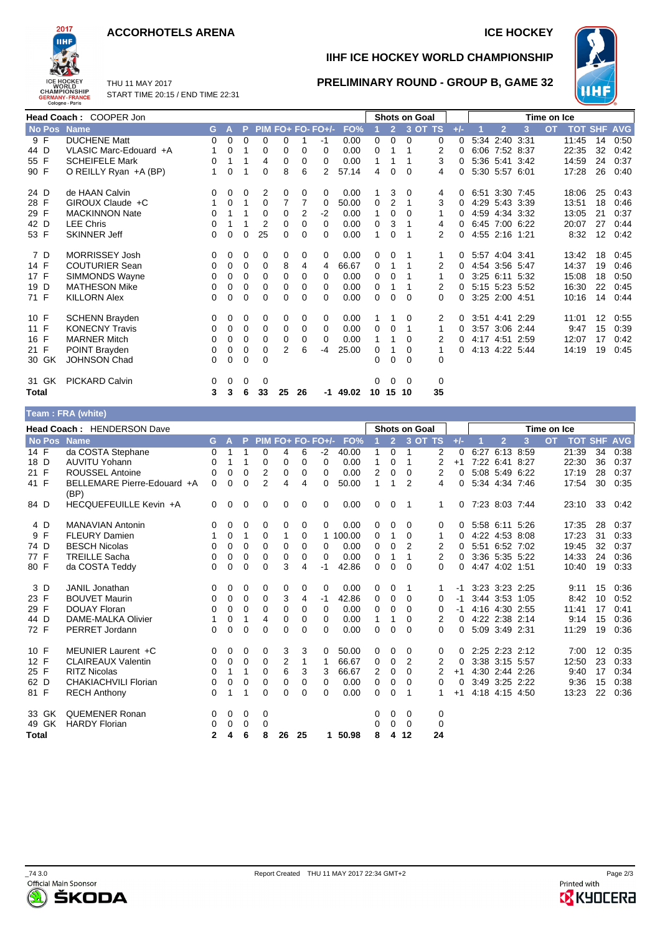### **ACCORHOTELS ARENA ICE HOCKEY**



**IIHF ICE HOCKEY WORLD CHAMPIONSHIP**

**PRELIMINARY ROUND - GROUP B, GAME 32**



START TIME 20:15 / END TIME 22:31

THU 11 MAY 2017

|               | Head Coach: COOPER Jon |    |              |          |             |                |          |                   |       |          |                | <b>Shots on Goal</b> |                |          | Time on Ice |                |                |           |       |    |                    |
|---------------|------------------------|----|--------------|----------|-------------|----------------|----------|-------------------|-------|----------|----------------|----------------------|----------------|----------|-------------|----------------|----------------|-----------|-------|----|--------------------|
| <b>No Pos</b> | <b>Name</b>            | G. | $\mathbf{A}$ | P.       |             |                |          | PIM FO+ FO- FO+/- | FO%   |          | $\overline{2}$ |                      | $3$ OT TS      | $+/-$    |             | $\overline{2}$ | 3              | <b>OT</b> |       |    | <b>TOT SHF AVG</b> |
| 9 F           | <b>DUCHENE Matt</b>    | 0  | $\mathbf 0$  | $\Omega$ | $\Omega$    | 0              |          | -1                | 0.00  | 0        | $\mathbf{0}$   | $\Omega$             | 0              | $\Omega$ |             | 5:34 2:40 3:31 |                |           | 11:45 | 14 | 0:50               |
| 44 D          | VLASIC Marc-Edouard +A | 1  | 0            | 1        | 0           | 0              | 0        | $\Omega$          | 0.00  | 0        |                |                      | $\overline{2}$ | $\Omega$ |             | 6:06 7:52 8:37 |                |           | 22:35 | 32 | 0:42               |
| 55 F          | <b>SCHEIFELE Mark</b>  | 0  | 1            | 1        | 4           | 0              | 0        | 0                 | 0.00  | 1        | 1              |                      | 3              | 0        |             |                | 5:36 5:41 3:42 |           | 14:59 | 24 | 0:37               |
| 90 F          | O REILLY Ryan +A (BP)  | 1  | 0            | 1        | 0           | 8              | 6        | 2                 | 57.14 | 4        | 0              | $\Omega$             | 4              | 0        |             | 5:30 5:57 6:01 |                |           | 17:28 | 26 | 0:40               |
| 24 D          | de HAAN Calvin         | 0  | 0            | 0        | 2           | 0              | 0        | 0                 | 0.00  |          | 3              | 0                    | 4              | 0        |             |                | 6:51 3:30 7:45 |           | 18:06 | 25 | 0:43               |
| 28 F          | GIROUX Claude +C       |    | 0            | 1        | 0           | $\overline{7}$ | 7        | 0                 | 50.00 | 0        | 2              | 1                    | 3              | 0        |             |                | 4:29 5:43 3:39 |           | 13:51 | 18 | 0:46               |
| 29 F          | <b>MACKINNON Nate</b>  | 0  |              |          | $\Omega$    | 0              | 2        | $-2$              | 0.00  | 1        | 0              | 0                    | 1              | 0        |             |                | 4:59 4:34 3:32 |           | 13:05 | 21 | 0:37               |
| 42 D          | <b>LEE Chris</b>       | 0  |              | 1        | 2           | 0              | $\Omega$ | $\Omega$          | 0.00  | 0        | 3              | 1                    | 4              | 0        |             |                | 6:45 7:00 6:22 |           | 20:07 | 27 | 0:44               |
| 53 F          | <b>SKINNER Jeff</b>    | 0  | 0            | 0        | 25          | 0              | $\Omega$ | $\Omega$          | 0.00  | 1        | $\Omega$       |                      | 2              | 0        |             | 4:55 2:16 1:21 |                |           | 8:32  | 12 | 0:42               |
| 7 D           | <b>MORRISSEY Josh</b>  | 0  | 0            | 0        | 0           | 0              | 0        | 0                 | 0.00  | 0        | 0              |                      | 1              | 0        |             | 5:57 4:04 3:41 |                |           | 13:42 | 18 | 0:45               |
| 14 F          | <b>COUTURIER Sean</b>  | 0  | 0            | 0        | 0           | 8              | 4        | 4                 | 66.67 | 0        | 1              | 1                    | 2              | 0        |             | 4:54 3:56 5:47 |                |           | 14:37 | 19 | 0:46               |
| 17 F          | SIMMONDS Wayne         | 0  | 0            | 0        | $\Omega$    | 0              | $\Omega$ | $\Omega$          | 0.00  | $\Omega$ | $\mathbf 0$    | 1                    | 1              | 0        |             |                | 3:25 6:11 5:32 |           | 15:08 | 18 | 0:50               |
| 19 D          | <b>MATHESON Mike</b>   | 0  | 0            | 0        | $\mathbf 0$ | 0              | 0        | $\Omega$          | 0.00  | 0        |                |                      | 2              | 0        |             |                | 5:15 5:23 5:52 |           | 16:30 | 22 | 0:45               |
| 71 F          | <b>KILLORN Alex</b>    | 0  | 0            | 0        | $\Omega$    | 0              | 0        | $\Omega$          | 0.00  | $\Omega$ | $\Omega$       | $\Omega$             | 0              | 0        |             | 3:25 2:00 4:51 |                |           | 10:16 | 14 | 0:44               |
| 10 F          | <b>SCHENN Brayden</b>  | 0  | 0            | 0        | 0           | 0              | 0        | 0                 | 0.00  | 1.       | 1              | $\Omega$             | 2              | 0        |             | 3:51 4:41 2:29 |                |           | 11:01 | 12 | 0:55               |
| 11 F          | <b>KONECNY Travis</b>  | 0  | 0            | 0        | $\Omega$    | 0              | 0        | $\Omega$          | 0.00  | 0        | 0              | 1                    | 1              | 0        |             | 3:57 3:06 2:44 |                |           | 9:47  | 15 | 0:39               |
| 16 F          | <b>MARNER Mitch</b>    | 0  | 0            | $\Omega$ | 0           | 0              | $\Omega$ | $\Omega$          | 0.00  | 1.       | 1              | $\Omega$             | 2              | 0        |             |                | 4:17 4:51 2:59 |           | 12:07 | 17 | 0:42               |
| 21 F          | POINT Brayden          | 0  | 0            | 0        | 0           | 2              | 6        | $-4$              | 25.00 | $\Omega$ | 1              | $\Omega$             | 1              | 0        |             | 4:13 4:22 5:44 |                |           | 14:19 | 19 | 0:45               |
| 30 GK         | <b>JOHNSON Chad</b>    | 0  | 0            | 0        | $\Omega$    |                |          |                   |       | 0        | 0              | $\Omega$             | 0              |          |             |                |                |           |       |    |                    |
| 31 GK         | <b>PICKARD Calvin</b>  | 0  | 0            | 0        | 0           |                |          |                   |       | 0        | $\mathbf 0$    | $\Omega$             | 0              |          |             |                |                |           |       |    |                    |
| <b>Total</b>  |                        | 3  | 3            | 6        | 33          | 25             | 26       | -1                | 49.02 | 10       | 15 10          |                      | 35             |          |             |                |                |           |       |    |                    |
|               | Team: FRA (white)      |    |              |          |             |                |          |                   |       |          |                |                      |                |          |             |                |                |           |       |    |                    |

|              | <b>Head Coach: HENDERSON Dave</b> |                                     |              |          |          |          |          |          |                   |          |              |                | <b>Shots on Goal</b> |          |          |      |                |      | Time on Ice |                    |                   |      |
|--------------|-----------------------------------|-------------------------------------|--------------|----------|----------|----------|----------|----------|-------------------|----------|--------------|----------------|----------------------|----------|----------|------|----------------|------|-------------|--------------------|-------------------|------|
|              |                                   | No Pos Name                         | G.           | A        | P.       |          |          |          | PIM FO+ FO- FO+/- | FO%      |              | $\overline{2}$ |                      | 3 OT TS  | $+/-$    |      | $\overline{2}$ | 3    | <b>OT</b>   | <b>TOT SHF AVG</b> |                   |      |
| 14 F         |                                   | da COSTA Stephane                   | 0            |          |          | 0        | 4        | 6        | $-2$              | 40.00    |              | 0              | 1                    | 2        | 0        | 6:27 | 6:13 8:59      |      |             | 21:39              | 34                | 0:38 |
| 18 D         |                                   | <b>AUVITU Yohann</b>                | 0            |          | 1        | 0        | 0        | 0        | $\Omega$          | 0.00     | 1            | 0              | 1                    | 2        | $+1$     |      | 7:22 6:41 8:27 |      |             | 22:30              | 36                | 0:37 |
| 21 F         |                                   | <b>ROUSSEL Antoine</b>              | 0            | $\Omega$ | 0        | 2        | 0        | 0        | $\Omega$          | 0.00     | 2            | 0              | $\Omega$             | 2        | $\Omega$ |      | 5:08 5:49      | 6:22 |             | 17:19              | 28                | 0:37 |
| 41 F         |                                   | BELLEMARE Pierre-Edouard +A<br>(BP) | 0            | $\Omega$ | 0        | 2        | 4        | 4        | 0                 | 50.00    | $\mathbf{1}$ | 1              | 2                    | 4        | $\Omega$ |      | 5:34 4:34 7:46 |      |             | 17:54              | 30                | 0:35 |
| 84 D         |                                   | HECQUEFEUILLE Kevin +A              | $\mathbf{0}$ | 0        | 0        | 0        | 0        | 0        | 0                 | 0.00     | 0            | 0              | -1                   | 1        | $\Omega$ |      | 7:23 8:03 7:44 |      |             | 23:10              | 33                | 0:42 |
| 4 D          |                                   | <b>MANAVIAN Antonin</b>             | 0            | 0        | 0        | 0        | 0        | 0        | 0                 | 0.00     | 0            | 0              | 0                    | 0        | 0        |      | 5:58 6:11 5:26 |      |             | 17:35              | 28                | 0:37 |
| 9 F          |                                   | <b>FLEURY Damien</b>                |              | 0        | 1        | 0        | 1        | 0        |                   | 1 100.00 | 0            | 1              | 0                    |          | 0        |      | 4:22 4:53 8:08 |      |             | 17:23              | 31                | 0:33 |
| 74 D         |                                   | <b>BESCH Nicolas</b>                | 0            | 0        | 0        | 0        | 0        | 0        | 0                 | 0.00     | 0            | 0              | 2                    | 2        | 0        |      | 5:51 6:52 7:02 |      |             | 19:45              | 32                | 0:37 |
| 77 F         |                                   | <b>TREILLE Sacha</b>                | 0            | 0        | 0        | 0        | 0        | 0        | 0                 | 0.00     | 0            | 1              | 1                    | 2        | 0        |      | 3:36 5:35 5:22 |      |             | 14:33              | 24                | 0:36 |
| 80 F         |                                   | da COSTA Teddy                      | 0            | 0        | 0        | $\Omega$ | 3        | 4        | -1                | 42.86    | $\Omega$     | 0              | 0                    | 0        | $\Omega$ |      | 4:47 4:02 1:51 |      |             | 10:40              | 19                | 0:33 |
| 3 D          |                                   | JANIL Jonathan                      | 0            | 0        | 0        | 0        | 0        | 0        | 0                 | 0.00     | 0            | 0              | 1                    | 1.       | -1       |      | 3:23 3:23 2:25 |      |             | 9:11               | 15                | 0:36 |
| 23 F         |                                   | <b>BOUVET Maurin</b>                | 0            | 0        | 0        | 0        | 3        | 4        | -1                | 42.86    | 0            | $\Omega$       | $\Omega$             | 0        | -1       |      | 3:44 3:53 1:05 |      |             | 8:42               | 10                | 0:52 |
| 29 F         |                                   | <b>DOUAY Floran</b>                 | 0            | 0        | 0        | 0        | 0        | 0        | 0                 | 0.00     | 0            | 0              | $\Omega$             | 0        | -1       |      | 4:16 4:30 2:55 |      |             | 11:41              | 17                | 0:41 |
| 44 D         |                                   | <b>DAME-MALKA Olivier</b>           | 1            | 0        | 1        | 4        | 0        | 0        | 0                 | 0.00     | 1            | 1              | 0                    | 2        | 0        |      | 4:22 2:38 2:14 |      |             | 9:14               | 15                | 0:36 |
| 72 F         |                                   | PERRET Jordann                      | 0            | 0        | 0        | $\Omega$ | $\Omega$ | 0        | 0                 | 0.00     | 0            | $\Omega$       | $\Omega$             | 0        | 0        |      | 5:09 3:49 2:31 |      |             | 11:29              | 19                | 0:36 |
| 10 F         |                                   | MEUNIER Laurent +C                  | 0            | 0        | 0        | 0        | 3        | 3        | 0                 | 50.00    | 0            | 0              | 0                    | 0        | $\Omega$ |      | 2:25 2:23 2:12 |      |             | 7:00               | $12 \overline{ }$ | 0:35 |
| 12 F         |                                   | <b>CLAIREAUX Valentin</b>           | 0            | 0        | 0        | 0        | 2        | 1        |                   | 66.67    | 0            | 0              | 2                    | 2        | 0        |      | 3:38 3:15 5:57 |      |             | 12:50              | 23                | 0:33 |
| 25 F         |                                   | <b>RITZ Nicolas</b>                 | 0            | 1        | 1        | $\Omega$ | 6        | 3        | 3                 | 66.67    | 2            | $\Omega$       | $\Omega$             | 2        | $+1$     |      | 4:30 2:44 2:26 |      |             | 9:40               | 17                | 0:34 |
| 62 D         |                                   | <b>CHAKIACHVILI Florian</b>         | 0            | 0        | 0        | 0        | 0        | 0        | 0                 | 0.00     | 0            | 0              | 0                    | $\Omega$ | $\Omega$ |      | 3:49 3:25 2:22 |      |             | 9:36               | 15                | 0:38 |
| 81 F         |                                   | <b>RECH Anthony</b>                 | 0            | 1        | 1        | $\Omega$ | $\Omega$ | $\Omega$ | 0                 | 0.00     | $\mathbf 0$  | $\Omega$       | 1                    |          | $+1$     |      | 4:18 4:15 4:50 |      |             | 13:23              | 22                | 0:36 |
| 33 GK        |                                   | <b>QUEMENER Ronan</b>               | 0            | 0        | 0        | 0        |          |          |                   |          | 0            | 0              | 0                    | 0        |          |      |                |      |             |                    |                   |      |
| 49 GK        |                                   | <b>HARDY Florian</b>                | 0            | $\Omega$ | $\Omega$ | $\Omega$ |          |          |                   |          | 0            | $\Omega$       | $\Omega$             | $\Omega$ |          |      |                |      |             |                    |                   |      |
| <b>Total</b> |                                   |                                     | 2            | 4        | 6        | 8        | 26       | 25       | 1                 | 50.98    | 8            | 4              | 12                   | 24       |          |      |                |      |             |                    |                   |      |